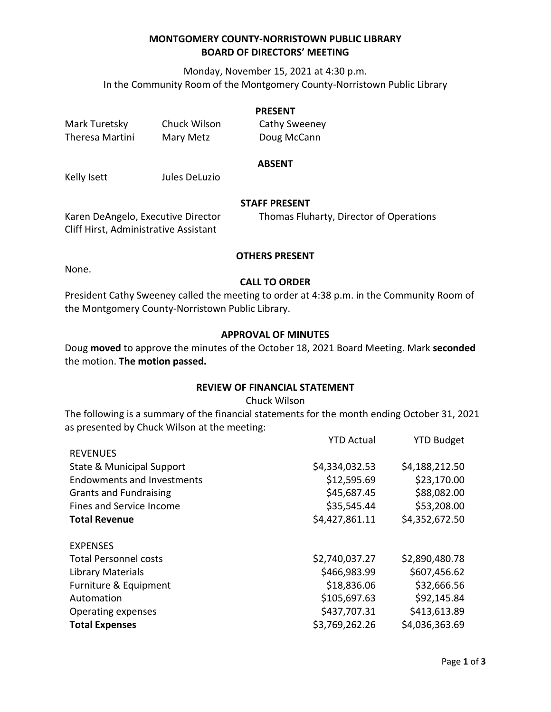# **MONTGOMERY COUNTY-NORRISTOWN PUBLIC LIBRARY BOARD OF DIRECTORS' MEETING**

Monday, November 15, 2021 at 4:30 p.m. In the Community Room of the Montgomery County-Norristown Public Library

### **PRESENT**

| Mark Turetsky   | Chuck Wilson | <b>Cathy Sweeney</b> |
|-----------------|--------------|----------------------|
| Theresa Martini | Mary Metz    | Doug McCann          |

## **ABSENT**

Kelly Isett Jules DeLuzio

## **STAFF PRESENT**

Cliff Hirst, Administrative Assistant

Karen DeAngelo, Executive Director Thomas Fluharty, Director of Operations

## **OTHERS PRESENT**

None.

## **CALL TO ORDER**

President Cathy Sweeney called the meeting to order at 4:38 p.m. in the Community Room of the Montgomery County-Norristown Public Library.

## **APPROVAL OF MINUTES**

Doug **moved** to approve the minutes of the October 18, 2021 Board Meeting. Mark **seconded** the motion. **The motion passed.**

## **REVIEW OF FINANCIAL STATEMENT**

## Chuck Wilson

The following is a summary of the financial statements for the month ending October 31, 2021 as presented by Chuck Wilson at the meeting:

|                                   | <b>YTD Actual</b> | <b>YTD Budget</b> |
|-----------------------------------|-------------------|-------------------|
| <b>REVENUES</b>                   |                   |                   |
| State & Municipal Support         | \$4,334,032.53    | \$4,188,212.50    |
| <b>Endowments and Investments</b> | \$12,595.69       | \$23,170.00       |
| <b>Grants and Fundraising</b>     | \$45,687.45       | \$88,082.00       |
| Fines and Service Income          | \$35,545.44       | \$53,208.00       |
| <b>Total Revenue</b>              | \$4,427,861.11    | \$4,352,672.50    |
| <b>EXPENSES</b>                   |                   |                   |
| <b>Total Personnel costs</b>      | \$2,740,037.27    | \$2,890,480.78    |
| <b>Library Materials</b>          | \$466,983.99      | \$607,456.62      |
| Furniture & Equipment             | \$18,836.06       | \$32,666.56       |
| Automation                        | \$105,697.63      | \$92,145.84       |
| Operating expenses                | \$437,707.31      | \$413,613.89      |
| <b>Total Expenses</b>             | \$3,769,262.26    | \$4,036,363.69    |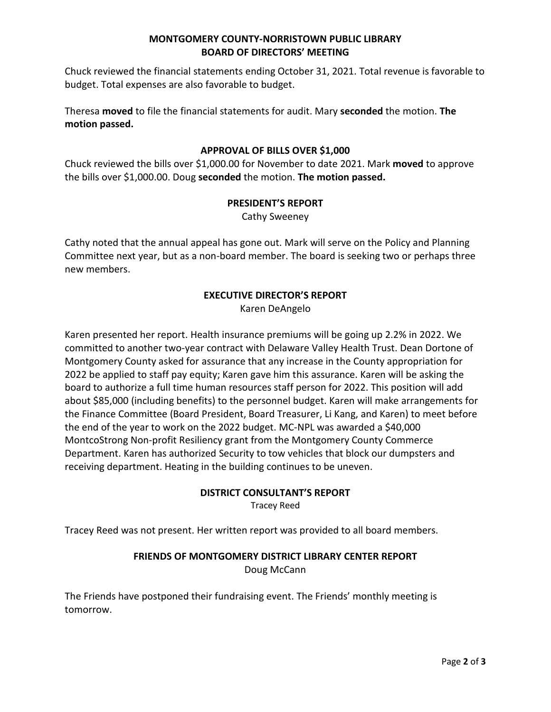# **MONTGOMERY COUNTY-NORRISTOWN PUBLIC LIBRARY BOARD OF DIRECTORS' MEETING**

Chuck reviewed the financial statements ending October 31, 2021. Total revenue is favorable to budget. Total expenses are also favorable to budget.

Theresa **moved** to file the financial statements for audit. Mary **seconded** the motion. **The motion passed.** 

# **APPROVAL OF BILLS OVER \$1,000**

Chuck reviewed the bills over \$1,000.00 for November to date 2021. Mark **moved** to approve the bills over \$1,000.00. Doug **seconded** the motion. **The motion passed.**

# **PRESIDENT'S REPORT**

Cathy Sweeney

Cathy noted that the annual appeal has gone out. Mark will serve on the Policy and Planning Committee next year, but as a non-board member. The board is seeking two or perhaps three new members.

# **EXECUTIVE DIRECTOR'S REPORT**

Karen DeAngelo

Karen presented her report. Health insurance premiums will be going up 2.2% in 2022. We committed to another two-year contract with Delaware Valley Health Trust. Dean Dortone of Montgomery County asked for assurance that any increase in the County appropriation for 2022 be applied to staff pay equity; Karen gave him this assurance. Karen will be asking the board to authorize a full time human resources staff person for 2022. This position will add about \$85,000 (including benefits) to the personnel budget. Karen will make arrangements for the Finance Committee (Board President, Board Treasurer, Li Kang, and Karen) to meet before the end of the year to work on the 2022 budget. MC-NPL was awarded a \$40,000 MontcoStrong Non-profit Resiliency grant from the Montgomery County Commerce Department. Karen has authorized Security to tow vehicles that block our dumpsters and receiving department. Heating in the building continues to be uneven.

# **DISTRICT CONSULTANT'S REPORT**

Tracey Reed

Tracey Reed was not present. Her written report was provided to all board members.

# **FRIENDS OF MONTGOMERY DISTRICT LIBRARY CENTER REPORT**

Doug McCann

The Friends have postponed their fundraising event. The Friends' monthly meeting is tomorrow.